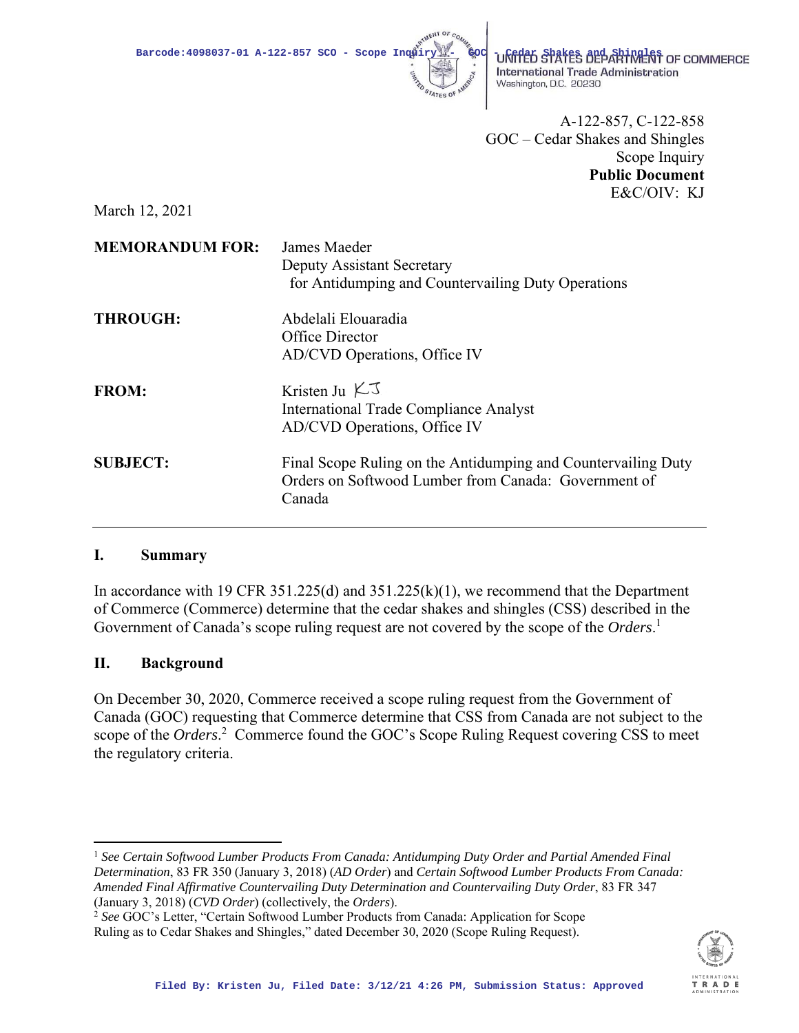

International Trade Administration Washington, D.C. 20230

 A-122-857, C-122-858 GOC – Cedar Shakes and Shingles Scope Inquiry **Public Document**  E&C/OIV: KJ

March 12, 2021

| <b>MEMORANDUM FOR:</b> | James Maeder<br>Deputy Assistant Secretary<br>for Antidumping and Countervailing Duty Operations                                |
|------------------------|---------------------------------------------------------------------------------------------------------------------------------|
| <b>THROUGH:</b>        | Abdelali Elouaradia<br>Office Director<br>AD/CVD Operations, Office IV                                                          |
| <b>FROM:</b>           | Kristen Ju $KJ$<br><b>International Trade Compliance Analyst</b><br>AD/CVD Operations, Office IV                                |
| <b>SUBJECT:</b>        | Final Scope Ruling on the Antidumping and Countervailing Duty<br>Orders on Softwood Lumber from Canada: Government of<br>Canada |

# **I. Summary**

In accordance with 19 CFR 351.225(d) and 351.225(k)(1), we recommend that the Department of Commerce (Commerce) determine that the cedar shakes and shingles (CSS) described in the Government of Canada's scope ruling request are not covered by the scope of the *Orders*. 1

# **II. Background**

On December 30, 2020, Commerce received a scope ruling request from the Government of Canada (GOC) requesting that Commerce determine that CSS from Canada are not subject to the scope of the *Orders*.<sup>2</sup> Commerce found the GOC's Scope Ruling Request covering CSS to meet the regulatory criteria.

<sup>1</sup> See Certain Softwood Lumber Products From Canada: Antidumping Duty Order and Partial Amended Final *Determination*, 83 FR 350 (January 3, 2018) (*AD Order*) and *Certain Softwood Lumber Products From Canada: Amended Final Affirmative Countervailing Duty Determination and Countervailing Duty Order*, 83 FR 347 (January 3, 2018) (*CVD Order*) (collectively, the *Orders*). 2 *See* GOC's Letter, "Certain Softwood Lumber Products from Canada: Application for Scope



Ruling as to Cedar Shakes and Shingles," dated December 30, 2020 (Scope Ruling Request).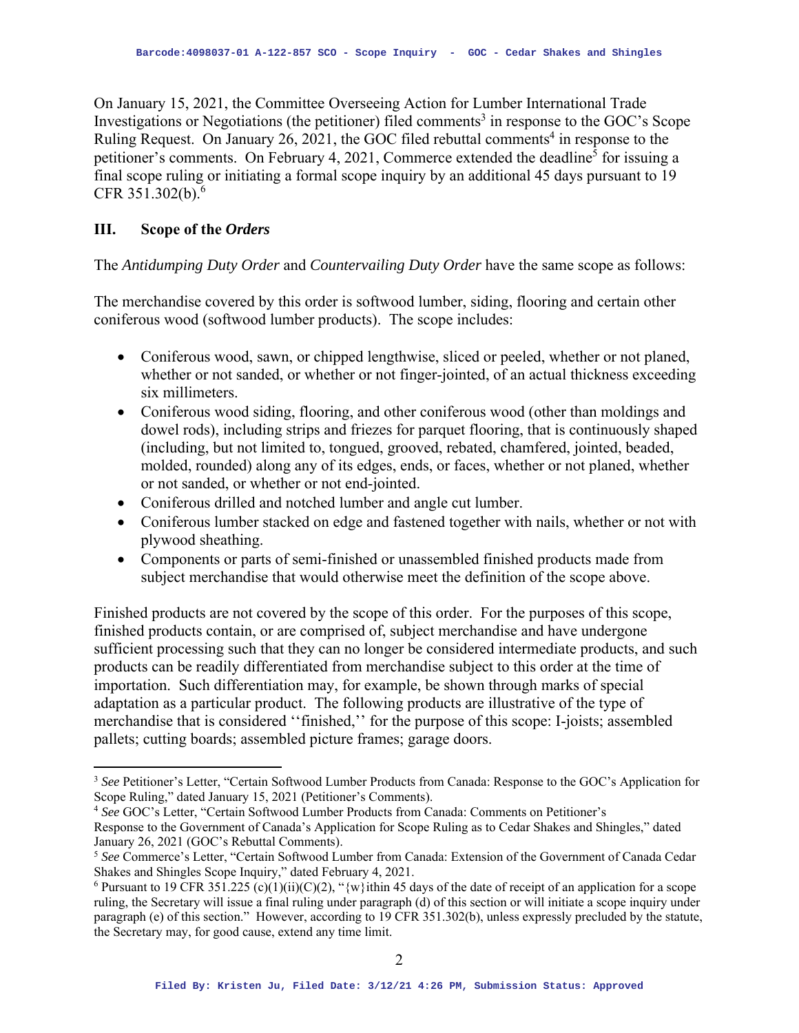On January 15, 2021, the Committee Overseeing Action for Lumber International Trade Investigations or Negotiations (the petitioner) filed comments<sup>3</sup> in response to the GOC's Scope Ruling Request. On January 26, 2021, the GOC filed rebuttal comments<sup>4</sup> in response to the petitioner's comments. On February 4, 2021, Commerce extended the deadline<sup>5</sup> for issuing a final scope ruling or initiating a formal scope inquiry by an additional 45 days pursuant to 19 CFR 351.302(b).6

## **III. Scope of the** *Orders*

The *Antidumping Duty Order* and *Countervailing Duty Order* have the same scope as follows:

The merchandise covered by this order is softwood lumber, siding, flooring and certain other coniferous wood (softwood lumber products). The scope includes:

- Coniferous wood, sawn, or chipped lengthwise, sliced or peeled, whether or not planed, whether or not sanded, or whether or not finger-jointed, of an actual thickness exceeding six millimeters.
- Coniferous wood siding, flooring, and other coniferous wood (other than moldings and dowel rods), including strips and friezes for parquet flooring, that is continuously shaped (including, but not limited to, tongued, grooved, rebated, chamfered, jointed, beaded, molded, rounded) along any of its edges, ends, or faces, whether or not planed, whether or not sanded, or whether or not end-jointed.
- Coniferous drilled and notched lumber and angle cut lumber.
- Coniferous lumber stacked on edge and fastened together with nails, whether or not with plywood sheathing.
- Components or parts of semi-finished or unassembled finished products made from subject merchandise that would otherwise meet the definition of the scope above.

Finished products are not covered by the scope of this order. For the purposes of this scope, finished products contain, or are comprised of, subject merchandise and have undergone sufficient processing such that they can no longer be considered intermediate products, and such products can be readily differentiated from merchandise subject to this order at the time of importation. Such differentiation may, for example, be shown through marks of special adaptation as a particular product. The following products are illustrative of the type of merchandise that is considered ''finished,'' for the purpose of this scope: I-joists; assembled pallets; cutting boards; assembled picture frames; garage doors.

Response to the Government of Canada's Application for Scope Ruling as to Cedar Shakes and Shingles," dated January 26, 2021 (GOC's Rebuttal Comments).

<sup>3</sup> *See* Petitioner's Letter, "Certain Softwood Lumber Products from Canada: Response to the GOC's Application for Scope Ruling," dated January 15, 2021 (Petitioner's Comments). 4 *See* GOC's Letter, "Certain Softwood Lumber Products from Canada: Comments on Petitioner's

<sup>5</sup> *See* Commerce's Letter, "Certain Softwood Lumber from Canada: Extension of the Government of Canada Cedar Shakes and Shingles Scope Inquiry," dated February 4, 2021.

<sup>&</sup>lt;sup>6</sup> Pursuant to 19 CFR 351.225 (c)(1)(ii)(C)(2), "{w}ithin 45 days of the date of receipt of an application for a scope ruling, the Secretary will issue a final ruling under paragraph (d) of this section or will initiate a scope inquiry under paragraph (e) of this section." However, according to 19 CFR 351.302(b), unless expressly precluded by the statute, the Secretary may, for good cause, extend any time limit.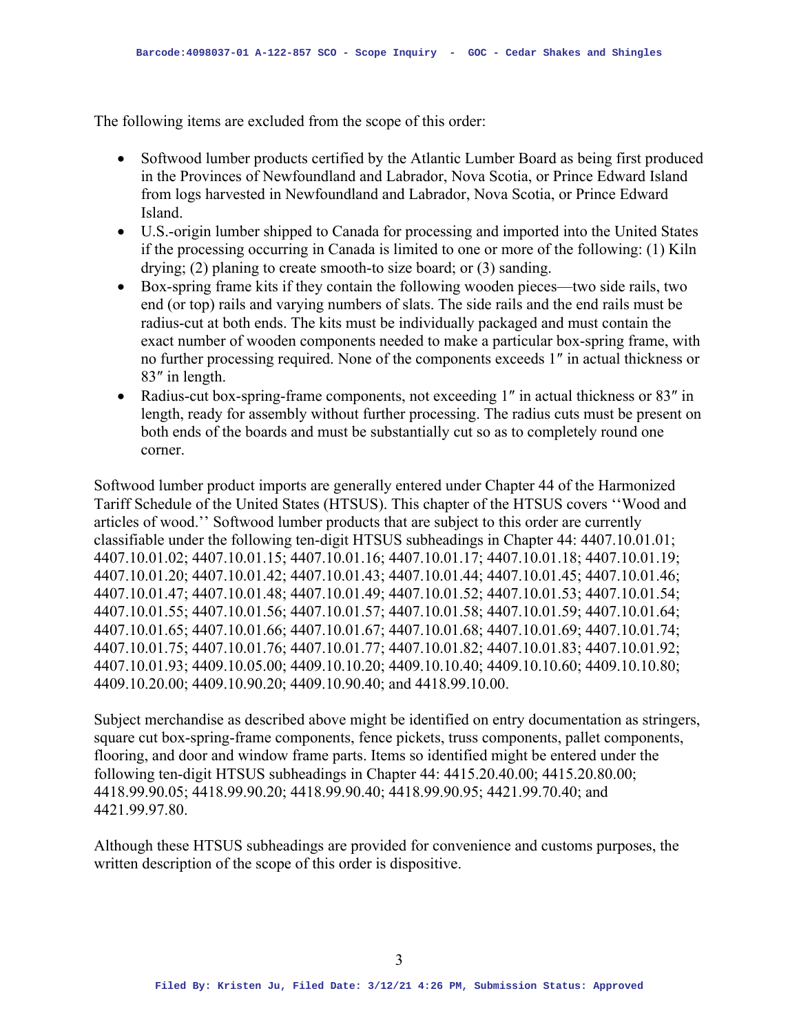The following items are excluded from the scope of this order:

- Softwood lumber products certified by the Atlantic Lumber Board as being first produced in the Provinces of Newfoundland and Labrador, Nova Scotia, or Prince Edward Island from logs harvested in Newfoundland and Labrador, Nova Scotia, or Prince Edward Island.
- U.S.-origin lumber shipped to Canada for processing and imported into the United States if the processing occurring in Canada is limited to one or more of the following: (1) Kiln drying; (2) planing to create smooth-to size board; or (3) sanding.
- Box-spring frame kits if they contain the following wooden pieces—two side rails, two end (or top) rails and varying numbers of slats. The side rails and the end rails must be radius-cut at both ends. The kits must be individually packaged and must contain the exact number of wooden components needed to make a particular box-spring frame, with no further processing required. None of the components exceeds 1″ in actual thickness or 83″ in length.
- Radius-cut box-spring-frame components, not exceeding 1" in actual thickness or 83" in length, ready for assembly without further processing. The radius cuts must be present on both ends of the boards and must be substantially cut so as to completely round one corner.

Softwood lumber product imports are generally entered under Chapter 44 of the Harmonized Tariff Schedule of the United States (HTSUS). This chapter of the HTSUS covers ''Wood and articles of wood.'' Softwood lumber products that are subject to this order are currently classifiable under the following ten-digit HTSUS subheadings in Chapter 44: 4407.10.01.01; 4407.10.01.02; 4407.10.01.15; 4407.10.01.16; 4407.10.01.17; 4407.10.01.18; 4407.10.01.19; 4407.10.01.20; 4407.10.01.42; 4407.10.01.43; 4407.10.01.44; 4407.10.01.45; 4407.10.01.46; 4407.10.01.47; 4407.10.01.48; 4407.10.01.49; 4407.10.01.52; 4407.10.01.53; 4407.10.01.54; 4407.10.01.55; 4407.10.01.56; 4407.10.01.57; 4407.10.01.58; 4407.10.01.59; 4407.10.01.64; 4407.10.01.65; 4407.10.01.66; 4407.10.01.67; 4407.10.01.68; 4407.10.01.69; 4407.10.01.74; 4407.10.01.75; 4407.10.01.76; 4407.10.01.77; 4407.10.01.82; 4407.10.01.83; 4407.10.01.92; 4407.10.01.93; 4409.10.05.00; 4409.10.10.20; 4409.10.10.40; 4409.10.10.60; 4409.10.10.80; 4409.10.20.00; 4409.10.90.20; 4409.10.90.40; and 4418.99.10.00.

Subject merchandise as described above might be identified on entry documentation as stringers, square cut box-spring-frame components, fence pickets, truss components, pallet components, flooring, and door and window frame parts. Items so identified might be entered under the following ten-digit HTSUS subheadings in Chapter 44: 4415.20.40.00; 4415.20.80.00; 4418.99.90.05; 4418.99.90.20; 4418.99.90.40; 4418.99.90.95; 4421.99.70.40; and 4421.99.97.80.

Although these HTSUS subheadings are provided for convenience and customs purposes, the written description of the scope of this order is dispositive.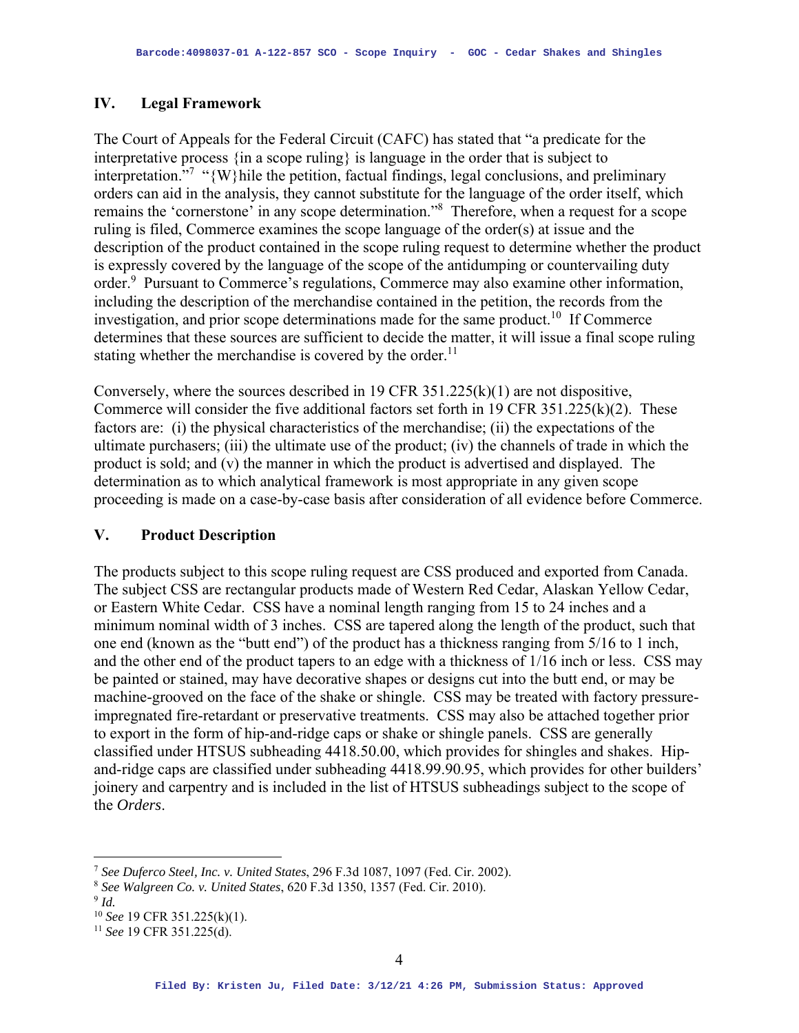## **IV. Legal Framework**

The Court of Appeals for the Federal Circuit (CAFC) has stated that "a predicate for the interpretative process {in a scope ruling} is language in the order that is subject to interpretation."<sup>7</sup> "{W}hile the petition, factual findings, legal conclusions, and preliminary orders can aid in the analysis, they cannot substitute for the language of the order itself, which remains the 'cornerstone' in any scope determination."<sup>8</sup> Therefore, when a request for a scope ruling is filed, Commerce examines the scope language of the order(s) at issue and the description of the product contained in the scope ruling request to determine whether the product is expressly covered by the language of the scope of the antidumping or countervailing duty order.<sup>9</sup> Pursuant to Commerce's regulations, Commerce may also examine other information, including the description of the merchandise contained in the petition, the records from the investigation, and prior scope determinations made for the same product.<sup>10</sup> If Commerce determines that these sources are sufficient to decide the matter, it will issue a final scope ruling stating whether the merchandise is covered by the order.<sup>11</sup>

Conversely, where the sources described in 19 CFR 351.225(k)(1) are not dispositive, Commerce will consider the five additional factors set forth in 19 CFR 351.225(k)(2). These factors are: (i) the physical characteristics of the merchandise; (ii) the expectations of the ultimate purchasers; (iii) the ultimate use of the product; (iv) the channels of trade in which the product is sold; and (v) the manner in which the product is advertised and displayed. The determination as to which analytical framework is most appropriate in any given scope proceeding is made on a case-by-case basis after consideration of all evidence before Commerce.

## **V. Product Description**

The products subject to this scope ruling request are CSS produced and exported from Canada. The subject CSS are rectangular products made of Western Red Cedar, Alaskan Yellow Cedar, or Eastern White Cedar. CSS have a nominal length ranging from 15 to 24 inches and a minimum nominal width of 3 inches. CSS are tapered along the length of the product, such that one end (known as the "butt end") of the product has a thickness ranging from 5/16 to 1 inch, and the other end of the product tapers to an edge with a thickness of 1/16 inch or less. CSS may be painted or stained, may have decorative shapes or designs cut into the butt end, or may be machine-grooved on the face of the shake or shingle. CSS may be treated with factory pressureimpregnated fire-retardant or preservative treatments. CSS may also be attached together prior to export in the form of hip-and-ridge caps or shake or shingle panels. CSS are generally classified under HTSUS subheading 4418.50.00, which provides for shingles and shakes. Hipand-ridge caps are classified under subheading 4418.99.90.95, which provides for other builders' joinery and carpentry and is included in the list of HTSUS subheadings subject to the scope of the *Orders*.

<sup>7</sup> *See Duferco Steel, Inc. v. United States*, 296 F.3d 1087, 1097 (Fed. Cir. 2002).

<sup>8</sup> *See Walgreen Co. v. United States*, 620 F.3d 1350, 1357 (Fed. Cir. 2010).

<sup>9</sup> *Id.*

<sup>10</sup> *See* 19 CFR 351.225(k)(1). 11 *See* 19 CFR 351.225(d).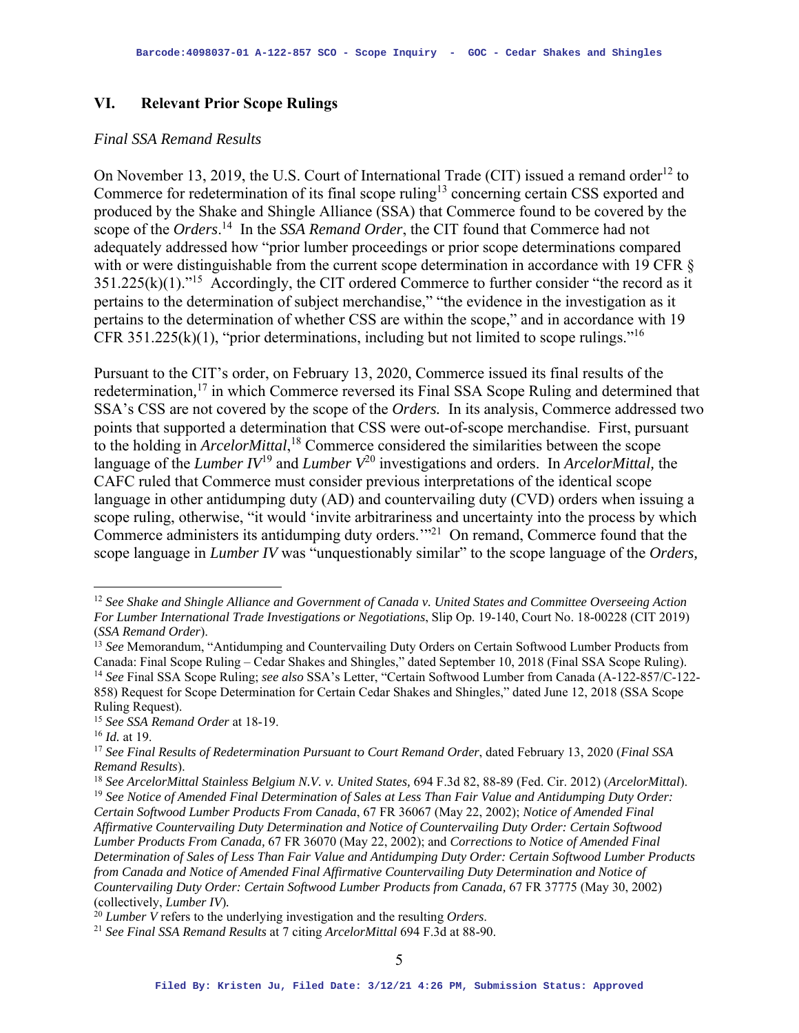### **VI. Relevant Prior Scope Rulings**

### *Final SSA Remand Results*

On November 13, 2019, the U.S. Court of International Trade (CIT) issued a remand order<sup>12</sup> to Commerce for redetermination of its final scope ruling<sup>13</sup> concerning certain CSS exported and produced by the Shake and Shingle Alliance (SSA) that Commerce found to be covered by the scope of the *Orders*. 14 In the *SSA Remand Order*, the CIT found that Commerce had not adequately addressed how "prior lumber proceedings or prior scope determinations compared with or were distinguishable from the current scope determination in accordance with 19 CFR §  $351.225(k)(1).$ <sup>15</sup> Accordingly, the CIT ordered Commerce to further consider "the record as it pertains to the determination of subject merchandise," "the evidence in the investigation as it pertains to the determination of whether CSS are within the scope," and in accordance with 19 CFR 351.225(k)(1), "prior determinations, including but not limited to scope rulings."<sup>16</sup>

Pursuant to the CIT's order, on February 13, 2020, Commerce issued its final results of the redetermination*,* <sup>17</sup> in which Commerce reversed its Final SSA Scope Ruling and determined that SSA's CSS are not covered by the scope of the *Orders.* In its analysis, Commerce addressed two points that supported a determination that CSS were out-of-scope merchandise. First, pursuant to the holding in *ArcelorMittal*, 18 Commerce considered the similarities between the scope language of the *Lumber IV*19 and *Lumber V*<sup>20</sup> investigations and orders. In *ArcelorMittal,* the CAFC ruled that Commerce must consider previous interpretations of the identical scope language in other antidumping duty (AD) and countervailing duty (CVD) orders when issuing a scope ruling, otherwise, "it would 'invite arbitrariness and uncertainty into the process by which Commerce administers its antidumping duty orders.'"21 On remand, Commerce found that the scope language in *Lumber IV* was "unquestionably similar" to the scope language of the *Orders,* 

<sup>12</sup> *See Shake and Shingle Alliance and Government of Canada v. United States and Committee Overseeing Action For Lumber International Trade Investigations or Negotiations*, Slip Op. 19-140, Court No. 18-00228 (CIT 2019) (*SSA Remand Order*).

<sup>&</sup>lt;sup>13</sup> See Memorandum, "Antidumping and Countervailing Duty Orders on Certain Softwood Lumber Products from Canada: Final Scope Ruling – Cedar Shakes and Shingles," dated September 10, 2018 (Final SSA Scope Ruling).<br><sup>14</sup> See Final SSA Scope Ruling; see also SSA's Letter, "Certain Softwood Lumber from Canada (A-122-857/C-122-858) Request for Scope Determination for Certain Cedar Shakes and Shingles," dated June 12, 2018 (SSA Scope Ruling Request).

<sup>15</sup> *See SSA Remand Order* at 18-19.

<sup>16</sup> *Id.* at 19.

<sup>17</sup> *See Final Results of Redetermination Pursuant to Court Remand Order*, dated February 13, 2020 (*Final SSA Remand Results*).

<sup>18</sup> *See ArcelorMittal Stainless Belgium N.V. v. United States,* 694 F.3d 82, 88-89 (Fed. Cir. 2012) (*ArcelorMittal*). <sup>19</sup> *See Notice of Amended Final Determination of Sales at Less Than Fair Value and Antidumping Duty Order: Certain Softwood Lumber Products From Canada*, 67 FR 36067 (May 22, 2002); *Notice of Amended Final* 

*Affirmative Countervailing Duty Determination and Notice of Countervailing Duty Order: Certain Softwood Lumber Products From Canada,* 67 FR 36070 (May 22, 2002); and *Corrections to Notice of Amended Final Determination of Sales of Less Than Fair Value and Antidumping Duty Order: Certain Softwood Lumber Products from Canada and Notice of Amended Final Affirmative Countervailing Duty Determination and Notice of Countervailing Duty Order: Certain Softwood Lumber Products from Canada,* 67 FR 37775 (May 30, 2002) (collectively, *Lumber IV*).<br><sup>20</sup> *Lumber V* refers to the underlying investigation and the resulting *Orders*.

<sup>&</sup>lt;sup>21</sup> See Final SSA Remand Results at 7 citing *ArcelorMittal* 694 F.3d at 88-90.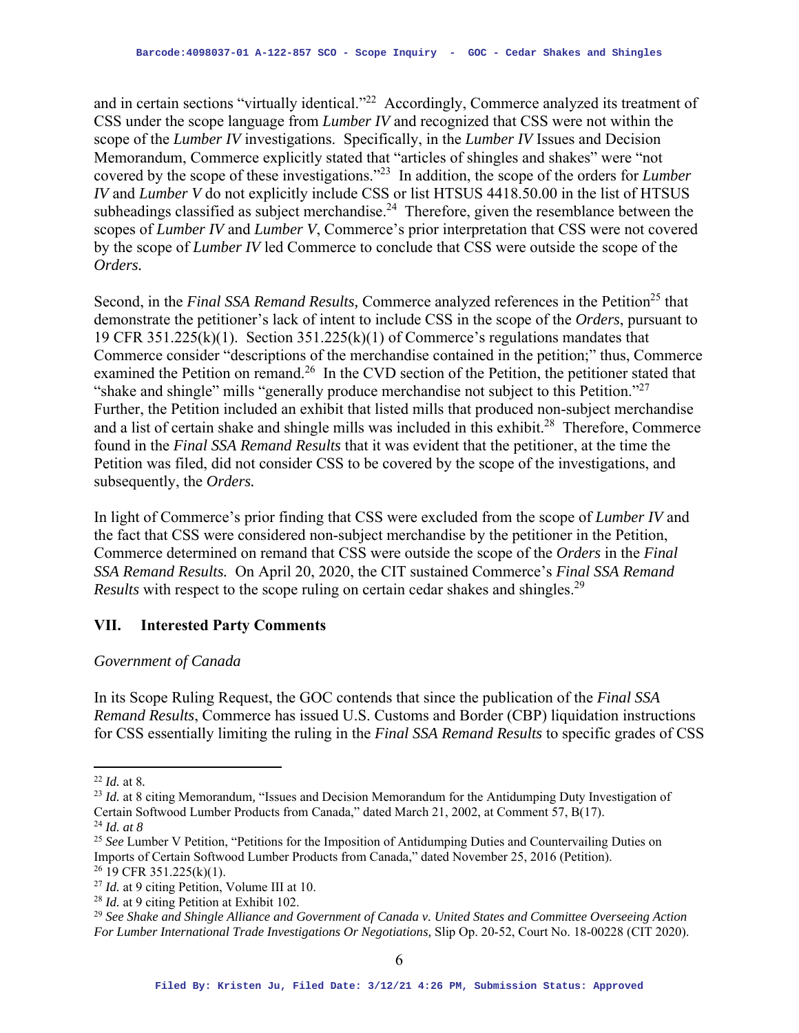and in certain sections "virtually identical."<sup>22</sup> Accordingly, Commerce analyzed its treatment of CSS under the scope language from *Lumber IV* and recognized that CSS were not within the scope of the *Lumber IV* investigations. Specifically, in the *Lumber IV* Issues and Decision Memorandum, Commerce explicitly stated that "articles of shingles and shakes" were "not covered by the scope of these investigations."23 In addition, the scope of the orders for *Lumber IV* and *Lumber V* do not explicitly include CSS or list HTSUS 4418.50.00 in the list of HTSUS subheadings classified as subject merchandise.<sup>24</sup> Therefore, given the resemblance between the scopes of *Lumber IV* and *Lumber V*, Commerce's prior interpretation that CSS were not covered by the scope of *Lumber IV* led Commerce to conclude that CSS were outside the scope of the *Orders.* 

Second, in the *Final SSA Remand Results*, Commerce analyzed references in the Petition<sup>25</sup> that demonstrate the petitioner's lack of intent to include CSS in the scope of the *Orders*, pursuant to 19 CFR 351.225(k)(1). Section  $351.225(k)(1)$  of Commerce's regulations mandates that Commerce consider "descriptions of the merchandise contained in the petition;" thus, Commerce examined the Petition on remand.<sup>26</sup> In the CVD section of the Petition, the petitioner stated that "shake and shingle" mills "generally produce merchandise not subject to this Petition."27 Further, the Petition included an exhibit that listed mills that produced non-subject merchandise and a list of certain shake and shingle mills was included in this exhibit.<sup>28</sup> Therefore, Commerce found in the *Final SSA Remand Results* that it was evident that the petitioner, at the time the Petition was filed, did not consider CSS to be covered by the scope of the investigations, and subsequently, the *Orders.*

In light of Commerce's prior finding that CSS were excluded from the scope of *Lumber IV* and the fact that CSS were considered non-subject merchandise by the petitioner in the Petition, Commerce determined on remand that CSS were outside the scope of the *Orders* in the *Final SSA Remand Results.* On April 20, 2020, the CIT sustained Commerce's *Final SSA Remand Results* with respect to the scope ruling on certain cedar shakes and shingles.<sup>29</sup>

# **VII. Interested Party Comments**

## *Government of Canada*

In its Scope Ruling Request, the GOC contends that since the publication of the *Final SSA Remand Results*, Commerce has issued U.S. Customs and Border (CBP) liquidation instructions for CSS essentially limiting the ruling in the *Final SSA Remand Results* to specific grades of CSS

 $26$  19 CFR 351.225(k)(1).

<sup>22</sup> *Id.* at 8*.* 

<sup>23</sup> *Id.* at 8 citing Memorandum*,* "Issues and Decision Memorandum for the Antidumping Duty Investigation of Certain Softwood Lumber Products from Canada," dated March 21, 2002, at Comment 57, B(17). 24 *Id. at 8* 

<sup>&</sup>lt;sup>25</sup> See Lumber V Petition, "Petitions for the Imposition of Antidumping Duties and Countervailing Duties on Imports of Certain Softwood Lumber Products from Canada," dated November 25, 2016 (Petition).

<sup>27</sup> *Id.* at 9 citing Petition, Volume III at 10.

<sup>28</sup> *Id.* at 9 citing Petition at Exhibit 102.

<sup>29</sup> *See Shake and Shingle Alliance and Government of Canada v. United States and Committee Overseeing Action For Lumber International Trade Investigations Or Negotiations,* Slip Op. 20-52, Court No. 18-00228 (CIT 2020).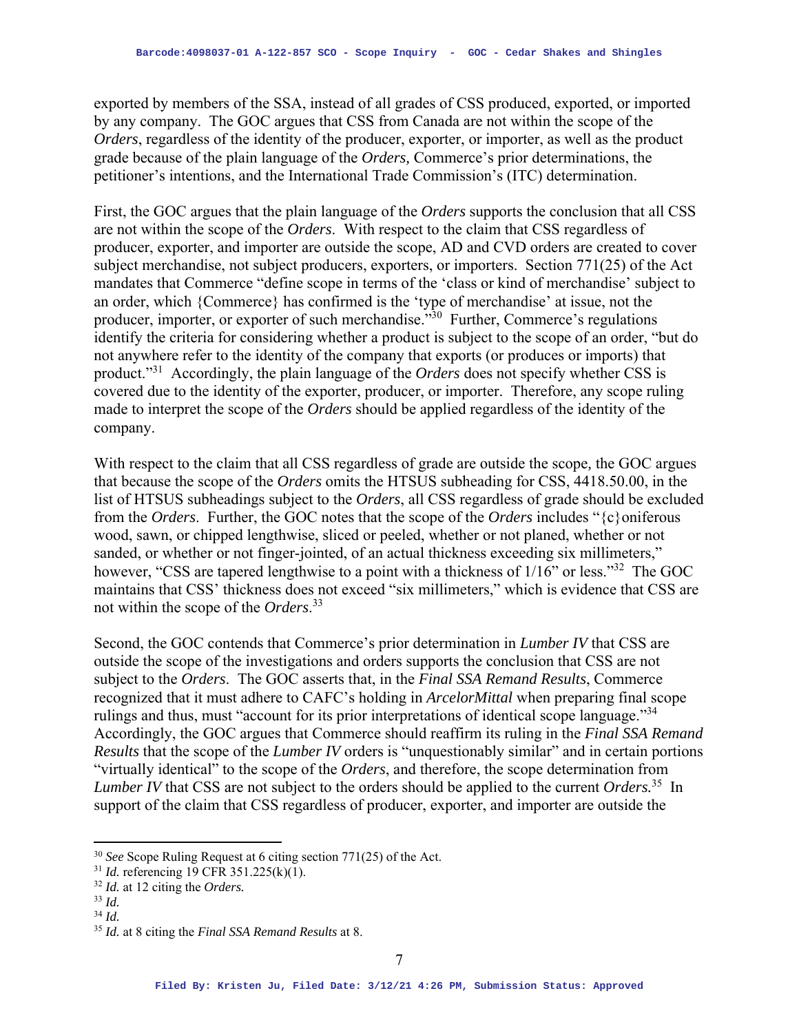exported by members of the SSA, instead of all grades of CSS produced, exported, or imported by any company. The GOC argues that CSS from Canada are not within the scope of the *Orders*, regardless of the identity of the producer, exporter, or importer, as well as the product grade because of the plain language of the *Orders,* Commerce's prior determinations, the petitioner's intentions, and the International Trade Commission's (ITC) determination.

First, the GOC argues that the plain language of the *Orders* supports the conclusion that all CSS are not within the scope of the *Orders*. With respect to the claim that CSS regardless of producer, exporter, and importer are outside the scope, AD and CVD orders are created to cover subject merchandise, not subject producers, exporters, or importers. Section 771(25) of the Act mandates that Commerce "define scope in terms of the 'class or kind of merchandise' subject to an order, which {Commerce} has confirmed is the 'type of merchandise' at issue, not the producer, importer, or exporter of such merchandise."30 Further, Commerce's regulations identify the criteria for considering whether a product is subject to the scope of an order, "but do not anywhere refer to the identity of the company that exports (or produces or imports) that product."31 Accordingly, the plain language of the *Orders* does not specify whether CSS is covered due to the identity of the exporter, producer, or importer. Therefore, any scope ruling made to interpret the scope of the *Orders* should be applied regardless of the identity of the company.

With respect to the claim that all CSS regardless of grade are outside the scope*,* the GOC argues that because the scope of the *Orders* omits the HTSUS subheading for CSS, 4418.50.00, in the list of HTSUS subheadings subject to the *Orders*, all CSS regardless of grade should be excluded from the *Orders*. Further, the GOC notes that the scope of the *Orders* includes "{c}oniferous wood, sawn, or chipped lengthwise, sliced or peeled, whether or not planed, whether or not sanded, or whether or not finger-jointed, of an actual thickness exceeding six millimeters," however, "CSS are tapered lengthwise to a point with a thickness of  $1/16$ " or less."<sup>32</sup> The GOC maintains that CSS' thickness does not exceed "six millimeters," which is evidence that CSS are not within the scope of the *Orders*. 33

Second, the GOC contends that Commerce's prior determination in *Lumber IV* that CSS are outside the scope of the investigations and orders supports the conclusion that CSS are not subject to the *Orders*. The GOC asserts that, in the *Final SSA Remand Results*, Commerce recognized that it must adhere to CAFC's holding in *ArcelorMittal* when preparing final scope rulings and thus, must "account for its prior interpretations of identical scope language."34 Accordingly, the GOC argues that Commerce should reaffirm its ruling in the *Final SSA Remand Results* that the scope of the *Lumber IV* orders is "unquestionably similar" and in certain portions "virtually identical" to the scope of the *Orders*, and therefore, the scope determination from *Lumber IV* that CSS are not subject to the orders should be applied to the current *Orders.*<sup>35</sup>In support of the claim that CSS regardless of producer, exporter, and importer are outside the

<sup>30</sup> *See* Scope Ruling Request at 6 citing section 771(25) of the Act.

<sup>31</sup> *Id.* referencing 19 CFR 351.225(k)(1).

 $^{32}$  *Id.* at 12 citing the *Orders*.

 $34$  *Id.* 

<sup>35</sup> *Id.* at 8 citing the *Final SSA Remand Results* at 8.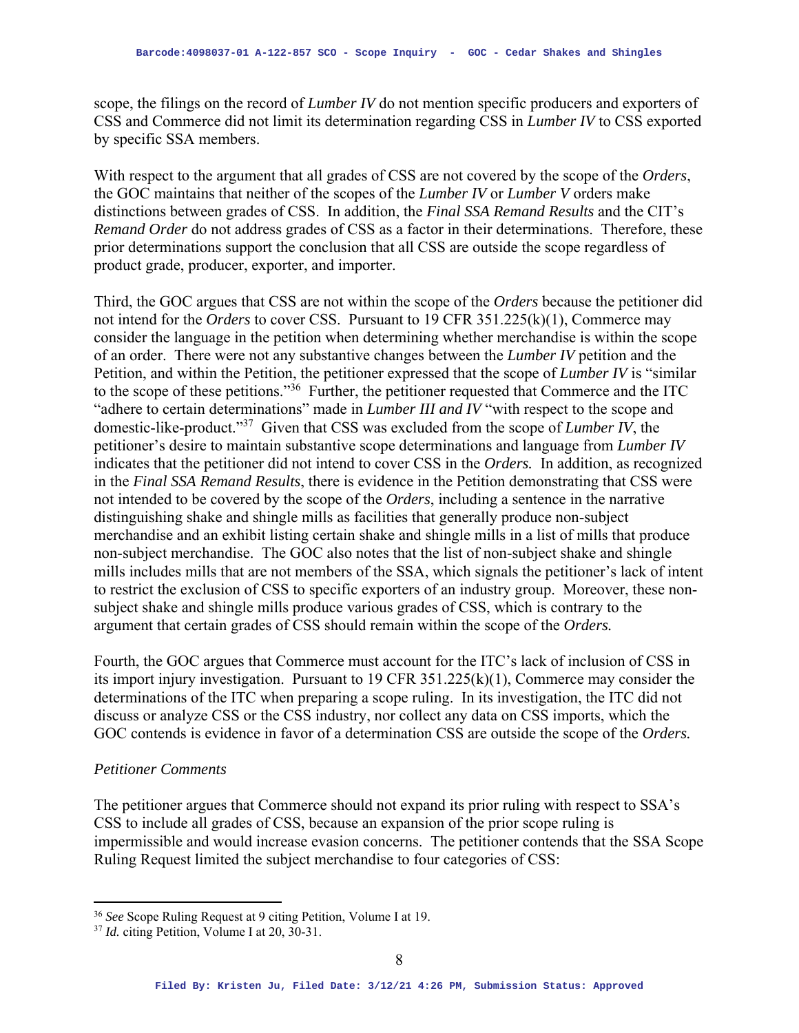scope, the filings on the record of *Lumber IV* do not mention specific producers and exporters of CSS and Commerce did not limit its determination regarding CSS in *Lumber IV* to CSS exported by specific SSA members.

With respect to the argument that all grades of CSS are not covered by the scope of the *Orders*, the GOC maintains that neither of the scopes of the *Lumber IV* or *Lumber V* orders make distinctions between grades of CSS. In addition, the *Final SSA Remand Results* and the CIT's *Remand Order* do not address grades of CSS as a factor in their determinations. Therefore, these prior determinations support the conclusion that all CSS are outside the scope regardless of product grade, producer, exporter, and importer.

Third, the GOC argues that CSS are not within the scope of the *Orders* because the petitioner did not intend for the *Orders* to cover CSS. Pursuant to 19 CFR 351.225(k)(1), Commerce may consider the language in the petition when determining whether merchandise is within the scope of an order. There were not any substantive changes between the *Lumber IV* petition and the Petition, and within the Petition, the petitioner expressed that the scope of *Lumber IV* is "similar to the scope of these petitions."<sup>36</sup> Further, the petitioner requested that Commerce and the ITC "adhere to certain determinations" made in *Lumber III and IV* "with respect to the scope and domestic-like-product."37 Given that CSS was excluded from the scope of *Lumber IV*, the petitioner's desire to maintain substantive scope determinations and language from *Lumber IV*  indicates that the petitioner did not intend to cover CSS in the *Orders.* In addition, as recognized in the *Final SSA Remand Results*, there is evidence in the Petition demonstrating that CSS were not intended to be covered by the scope of the *Orders*, including a sentence in the narrative distinguishing shake and shingle mills as facilities that generally produce non-subject merchandise and an exhibit listing certain shake and shingle mills in a list of mills that produce non-subject merchandise. The GOC also notes that the list of non-subject shake and shingle mills includes mills that are not members of the SSA, which signals the petitioner's lack of intent to restrict the exclusion of CSS to specific exporters of an industry group. Moreover, these nonsubject shake and shingle mills produce various grades of CSS, which is contrary to the argument that certain grades of CSS should remain within the scope of the *Orders.* 

Fourth, the GOC argues that Commerce must account for the ITC's lack of inclusion of CSS in its import injury investigation. Pursuant to 19 CFR 351.225(k)(1), Commerce may consider the determinations of the ITC when preparing a scope ruling. In its investigation, the ITC did not discuss or analyze CSS or the CSS industry, nor collect any data on CSS imports, which the GOC contends is evidence in favor of a determination CSS are outside the scope of the *Orders.*

#### *Petitioner Comments*

The petitioner argues that Commerce should not expand its prior ruling with respect to SSA's CSS to include all grades of CSS, because an expansion of the prior scope ruling is impermissible and would increase evasion concerns. The petitioner contends that the SSA Scope Ruling Request limited the subject merchandise to four categories of CSS:

<sup>36</sup> *See* Scope Ruling Request at 9 citing Petition, Volume I at 19.

<sup>37</sup> *Id.* citing Petition, Volume I at 20, 30-31.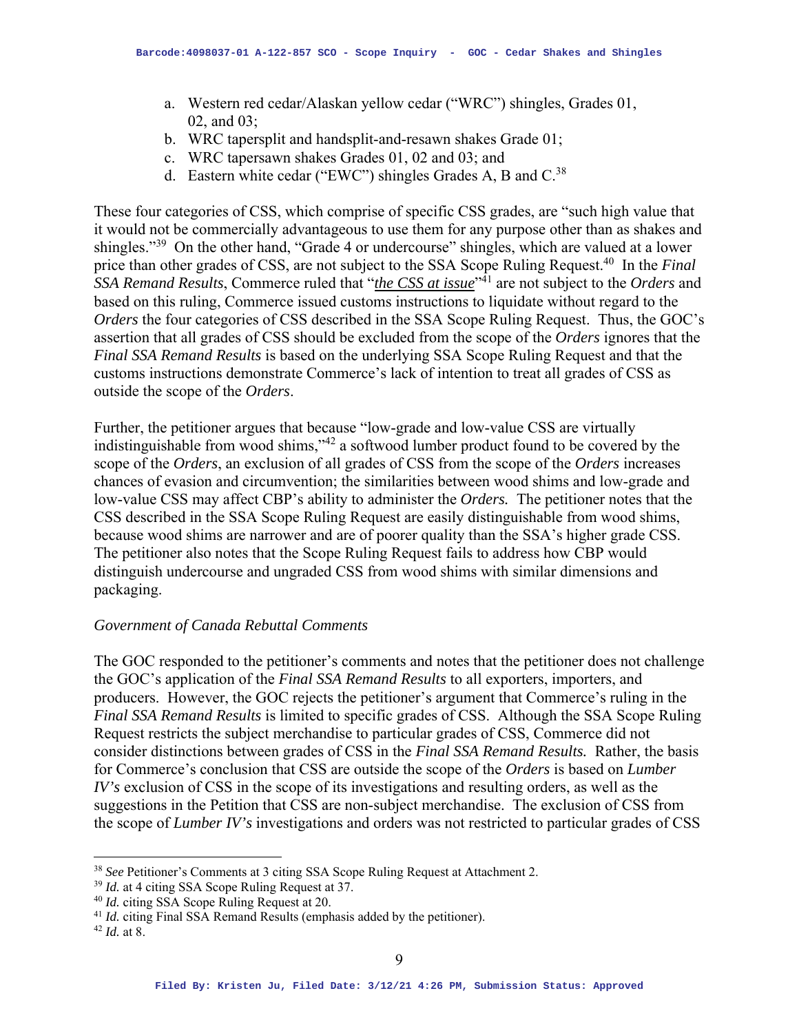- a. Western red cedar/Alaskan yellow cedar ("WRC") shingles, Grades 01, 02, and 03;
- b. WRC tapersplit and handsplit-and-resawn shakes Grade 01;
- c. WRC tapersawn shakes Grades 01, 02 and 03; and
- d. Eastern white cedar ("EWC") shingles Grades A, B and  $C^{38}$ .

These four categories of CSS, which comprise of specific CSS grades, are "such high value that it would not be commercially advantageous to use them for any purpose other than as shakes and shingles."39 On the other hand, "Grade 4 or undercourse" shingles, which are valued at a lower price than other grades of CSS, are not subject to the SSA Scope Ruling Request.40 In the *Final SSA Remand Results*, Commerce ruled that "*the CSS at issue*"41 are not subject to the *Orders* and based on this ruling, Commerce issued customs instructions to liquidate without regard to the *Orders* the four categories of CSS described in the SSA Scope Ruling Request. Thus, the GOC's assertion that all grades of CSS should be excluded from the scope of the *Orders* ignores that the *Final SSA Remand Results* is based on the underlying SSA Scope Ruling Request and that the customs instructions demonstrate Commerce's lack of intention to treat all grades of CSS as outside the scope of the *Orders*.

Further, the petitioner argues that because "low-grade and low-value CSS are virtually indistinguishable from wood shims,"42 a softwood lumber product found to be covered by the scope of the *Orders*, an exclusion of all grades of CSS from the scope of the *Orders* increases chances of evasion and circumvention; the similarities between wood shims and low-grade and low-value CSS may affect CBP's ability to administer the *Orders.* The petitioner notes that the CSS described in the SSA Scope Ruling Request are easily distinguishable from wood shims, because wood shims are narrower and are of poorer quality than the SSA's higher grade CSS. The petitioner also notes that the Scope Ruling Request fails to address how CBP would distinguish undercourse and ungraded CSS from wood shims with similar dimensions and packaging.

#### *Government of Canada Rebuttal Comments*

The GOC responded to the petitioner's comments and notes that the petitioner does not challenge the GOC's application of the *Final SSA Remand Results* to all exporters, importers, and producers. However, the GOC rejects the petitioner's argument that Commerce's ruling in the *Final SSA Remand Results* is limited to specific grades of CSS. Although the SSA Scope Ruling Request restricts the subject merchandise to particular grades of CSS, Commerce did not consider distinctions between grades of CSS in the *Final SSA Remand Results.* Rather, the basis for Commerce's conclusion that CSS are outside the scope of the *Orders* is based on *Lumber IV's* exclusion of CSS in the scope of its investigations and resulting orders, as well as the suggestions in the Petition that CSS are non-subject merchandise. The exclusion of CSS from the scope of *Lumber IV's* investigations and orders was not restricted to particular grades of CSS

<sup>38</sup> *See* Petitioner's Comments at 3 citing SSA Scope Ruling Request at Attachment 2.

<sup>&</sup>lt;sup>39</sup> *Id.* at 4 citing SSA Scope Ruling Request at 37.<br><sup>40</sup> *Id.* citing SSA Scope Ruling Request at 20.

<sup>&</sup>lt;sup>41</sup> *Id.* citing Final SSA Remand Results (emphasis added by the petitioner). <sup>42</sup> *Id.* at 8.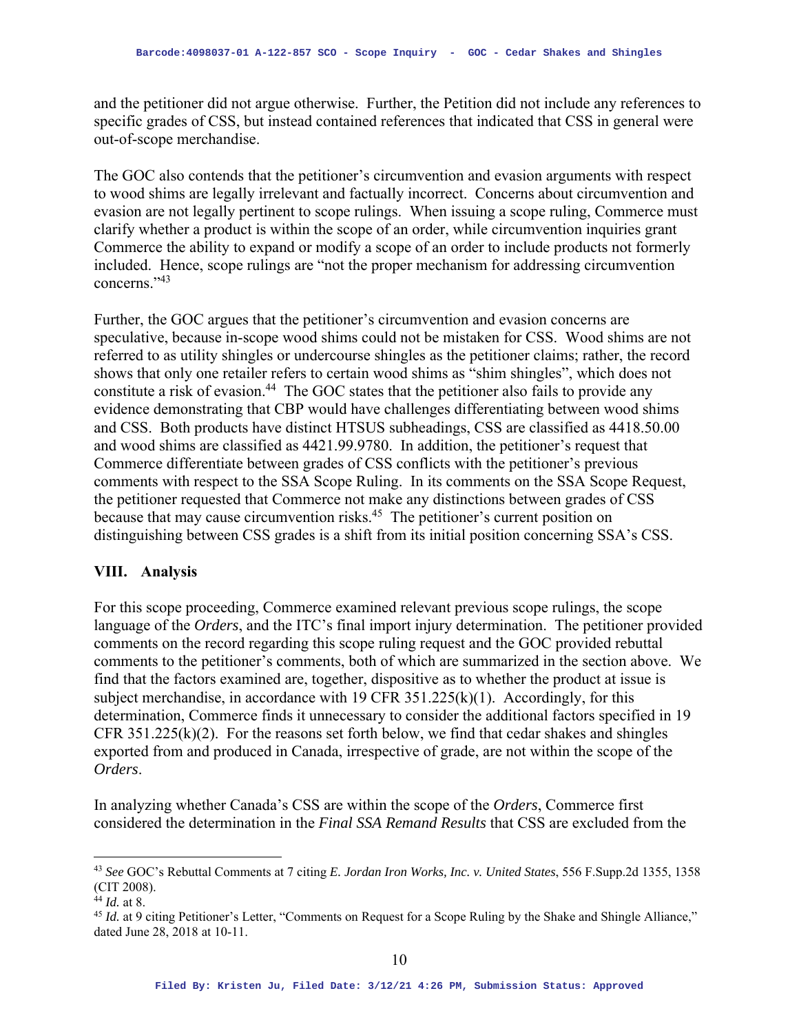and the petitioner did not argue otherwise. Further, the Petition did not include any references to specific grades of CSS, but instead contained references that indicated that CSS in general were out-of-scope merchandise.

The GOC also contends that the petitioner's circumvention and evasion arguments with respect to wood shims are legally irrelevant and factually incorrect. Concerns about circumvention and evasion are not legally pertinent to scope rulings. When issuing a scope ruling, Commerce must clarify whether a product is within the scope of an order, while circumvention inquiries grant Commerce the ability to expand or modify a scope of an order to include products not formerly included. Hence, scope rulings are "not the proper mechanism for addressing circumvention concerns."43

Further, the GOC argues that the petitioner's circumvention and evasion concerns are speculative, because in-scope wood shims could not be mistaken for CSS. Wood shims are not referred to as utility shingles or undercourse shingles as the petitioner claims; rather, the record shows that only one retailer refers to certain wood shims as "shim shingles", which does not constitute a risk of evasion.<sup>44</sup> The GOC states that the petitioner also fails to provide any evidence demonstrating that CBP would have challenges differentiating between wood shims and CSS. Both products have distinct HTSUS subheadings, CSS are classified as 4418.50.00 and wood shims are classified as 4421.99.9780. In addition, the petitioner's request that Commerce differentiate between grades of CSS conflicts with the petitioner's previous comments with respect to the SSA Scope Ruling. In its comments on the SSA Scope Request, the petitioner requested that Commerce not make any distinctions between grades of CSS because that may cause circumvention risks.45 The petitioner's current position on distinguishing between CSS grades is a shift from its initial position concerning SSA's CSS.

## **VIII. Analysis**

For this scope proceeding, Commerce examined relevant previous scope rulings, the scope language of the *Orders*, and the ITC's final import injury determination. The petitioner provided comments on the record regarding this scope ruling request and the GOC provided rebuttal comments to the petitioner's comments, both of which are summarized in the section above. We find that the factors examined are, together, dispositive as to whether the product at issue is subject merchandise, in accordance with 19 CFR  $351.225(k)(1)$ . Accordingly, for this determination, Commerce finds it unnecessary to consider the additional factors specified in 19 CFR  $351.225(k)(2)$ . For the reasons set forth below, we find that cedar shakes and shingles exported from and produced in Canada, irrespective of grade, are not within the scope of the *Orders*.

In analyzing whether Canada's CSS are within the scope of the *Orders*, Commerce first considered the determination in the *Final SSA Remand Results* that CSS are excluded from the

<sup>43</sup> *See* GOC's Rebuttal Comments at 7 citing *E. Jordan Iron Works, Inc. v. United States*, 556 F.Supp.2d 1355, 1358 (CIT 2008).

<sup>44</sup> *Id.* at 8.

<sup>&</sup>lt;sup>45</sup> *Id.* at 9 citing Petitioner's Letter, "Comments on Request for a Scope Ruling by the Shake and Shingle Alliance," dated June 28, 2018 at 10-11.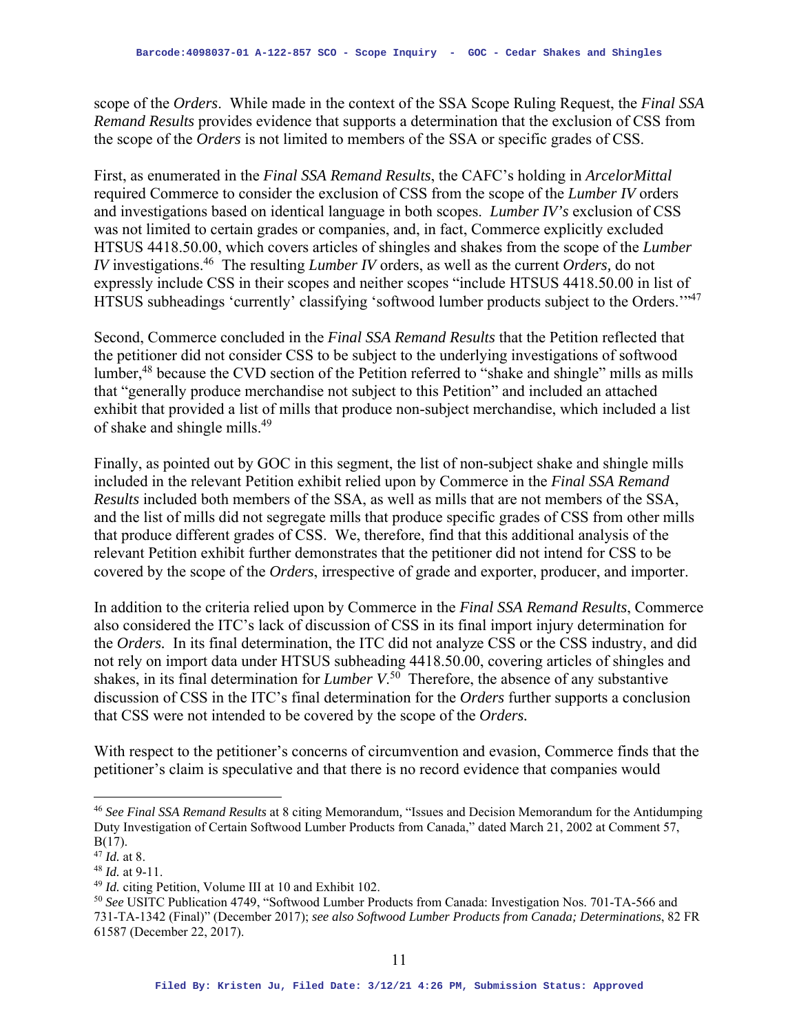scope of the *Orders*. While made in the context of the SSA Scope Ruling Request, the *Final SSA Remand Results* provides evidence that supports a determination that the exclusion of CSS from the scope of the *Orders* is not limited to members of the SSA or specific grades of CSS.

First, as enumerated in the *Final SSA Remand Results*, the CAFC's holding in *ArcelorMittal* required Commerce to consider the exclusion of CSS from the scope of the *Lumber IV* orders and investigations based on identical language in both scopes. *Lumber IV's* exclusion of CSS was not limited to certain grades or companies, and, in fact, Commerce explicitly excluded HTSUS 4418.50.00, which covers articles of shingles and shakes from the scope of the *Lumber IV* investigations.46 The resulting *Lumber IV* orders, as well as the current *Orders,* do not expressly include CSS in their scopes and neither scopes "include HTSUS 4418.50.00 in list of HTSUS subheadings 'currently' classifying 'softwood lumber products subject to the Orders.'"47

Second, Commerce concluded in the *Final SSA Remand Results* that the Petition reflected that the petitioner did not consider CSS to be subject to the underlying investigations of softwood lumber,<sup>48</sup> because the CVD section of the Petition referred to "shake and shingle" mills as mills that "generally produce merchandise not subject to this Petition" and included an attached exhibit that provided a list of mills that produce non-subject merchandise, which included a list of shake and shingle mills.49

Finally, as pointed out by GOC in this segment, the list of non-subject shake and shingle mills included in the relevant Petition exhibit relied upon by Commerce in the *Final SSA Remand Results* included both members of the SSA, as well as mills that are not members of the SSA, and the list of mills did not segregate mills that produce specific grades of CSS from other mills that produce different grades of CSS. We, therefore, find that this additional analysis of the relevant Petition exhibit further demonstrates that the petitioner did not intend for CSS to be covered by the scope of the *Orders*, irrespective of grade and exporter, producer, and importer.

In addition to the criteria relied upon by Commerce in the *Final SSA Remand Results*, Commerce also considered the ITC's lack of discussion of CSS in its final import injury determination for the *Orders.* In its final determination, the ITC did not analyze CSS or the CSS industry, and did not rely on import data under HTSUS subheading 4418.50.00, covering articles of shingles and shakes, in its final determination for *Lumber V*. 50 Therefore, the absence of any substantive discussion of CSS in the ITC's final determination for the *Orders* further supports a conclusion that CSS were not intended to be covered by the scope of the *Orders.* 

With respect to the petitioner's concerns of circumvention and evasion, Commerce finds that the petitioner's claim is speculative and that there is no record evidence that companies would

<sup>46</sup> *See Final SSA Remand Results* at 8 citing Memorandum*,* "Issues and Decision Memorandum for the Antidumping Duty Investigation of Certain Softwood Lumber Products from Canada," dated March 21, 2002 at Comment 57, B(17).

<sup>47</sup> *Id.* at 8.

<sup>48</sup> *Id.* at 9-11.

<sup>49</sup> *Id.* citing Petition, Volume III at 10 and Exhibit 102.

<sup>50</sup> *See* USITC Publication 4749, "Softwood Lumber Products from Canada: Investigation Nos. 701-TA-566 and 731-TA-1342 (Final)" (December 2017); *see also Softwood Lumber Products from Canada; Determinations*, 82 FR 61587 (December 22, 2017).